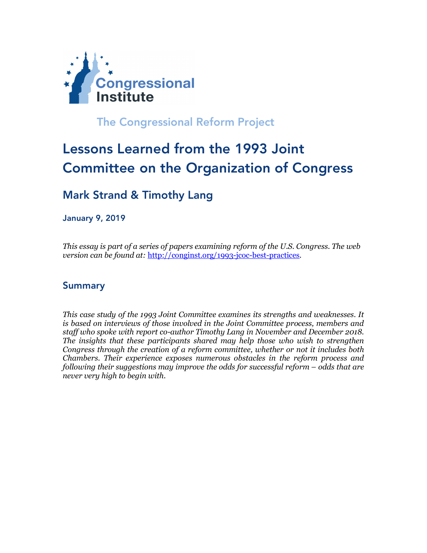

The Congressional Reform Project

# Lessons Learned from the 1993 Joint Committee on the Organization of Congress

## Mark Strand & Timothy Lang

January 9, 2019

*This essay is part of a series of papers examining reform of the U.S. Congress. The web version can be found at:* http://conginst.org/1993-jcoc-best-practices*.*

#### Summary

*This case study of the 1993 Joint Committee examines its strengths and weaknesses. It is based on interviews of those involved in the Joint Committee process, members and staff who spoke with report co-author Timothy Lang in November and December 2018. The insights that these participants shared may help those who wish to strengthen Congress through the creation of a reform committee, whether or not it includes both Chambers. Their experience exposes numerous obstacles in the reform process and following their suggestions may improve the odds for successful reform – odds that are never very high to begin with.*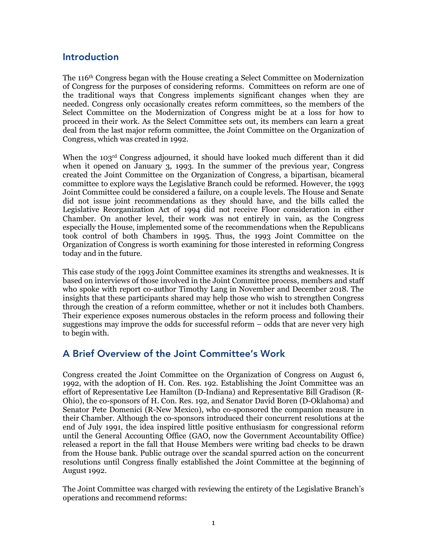#### Introduction

The 116th Congress began with the House creating a Select Committee on Modernization of Congress for the purposes of considering reforms. Committees on reform are one of the traditional ways that Congress implements significant changes when they are needed. Congress only occasionally creates reform committees, so the members of the Select Committee on the Modernization of Congress might be at a loss for how to proceed in their work. As the Select Committee sets out, its members can learn a great deal from the last major reform committee, the Joint Committee on the Organization of Congress, which was created in 1992.

When the 103<sup>rd</sup> Congress adjourned, it should have looked much different than it did when it opened on January 3, 1993. In the summer of the previous year, Congress created the Joint Committee on the Organization of Congress, a bipartisan, bicameral committee to explore ways the Legislative Branch could be reformed. However, the 1993 Joint Committee could be considered a failure, on a couple levels. The House and Senate did not issue joint recommendations as they should have, and the bills called the Legislative Reorganization Act of 1994 did not receive Floor consideration in either Chamber. On another level, their work was not entirely in vain, as the Congress especially the House, implemented some of the recommendations when the Republicans took control of both Chambers in 1995. Thus, the 1993 Joint Committee on the Organization of Congress is worth examining for those interested in reforming Congress today and in the future.

This case study of the 1993 Joint Committee examines its strengths and weaknesses. It is based on interviews of those involved in the Joint Committee process, members and staff who spoke with report co-author Timothy Lang in November and December 2018. The insights that these participants shared may help those who wish to strengthen Congress through the creation of a reform committee, whether or not it includes both Chambers. Their experience exposes numerous obstacles in the reform process and following their suggestions may improve the odds for successful reform – odds that are never very high to begin with.

#### A Brief Overview of the Joint Committee's Work

Congress created the Joint Committee on the Organization of Congress on August 6, 1992, with the adoption of H. Con. Res. 192. Establishing the Joint Committee was an effort of Representative Lee Hamilton (D-Indiana) and Representative Bill Gradison (R-Ohio), the co-sponsors of H. Con. Res. 192, and Senator David Boren (D-Oklahoma) and Senator Pete Domenici (R-New Mexico), who co-sponsored the companion measure in their Chamber. Although the co-sponsors introduced their concurrent resolutions at the end of July 1991, the idea inspired little positive enthusiasm for congressional reform until the General Accounting Office (GAO, now the Government Accountability Office) released a report in the fall that House Members were writing bad checks to be drawn from the House bank. Public outrage over the scandal spurred action on the concurrent resolutions until Congress finally established the Joint Committee at the beginning of August 1992.

The Joint Committee was charged with reviewing the entirety of the Legislative Branch's operations and recommend reforms: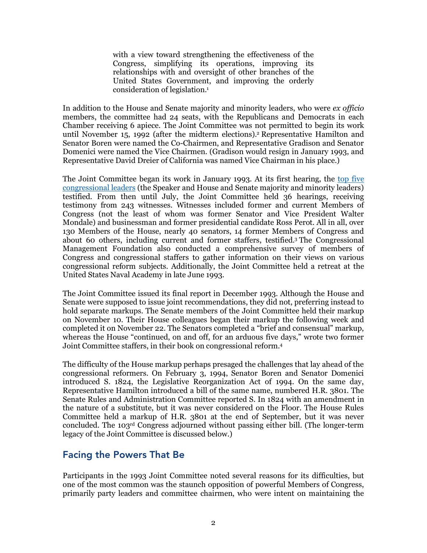with a view toward strengthening the effectiveness of the Congress, simplifying its operations, improving its relationships with and oversight of other branches of the United States Government, and improving the orderly consideration of legislation.1

In addition to the House and Senate majority and minority leaders, who were *ex officio* members, the committee had 24 seats, with the Republicans and Democrats in each Chamber receiving 6 apiece. The Joint Committee was not permitted to begin its work until November 15, 1992 (after the midterm elections).2 Representative Hamilton and Senator Boren were named the Co-Chairmen, and Representative Gradison and Senator Domenici were named the Vice Chairmen. (Gradison would resign in January 1993, and Representative David Dreier of California was named Vice Chairman in his place.)

The Joint Committee began its work in January 1993. At its first hearing, the top five congressional leaders (the Speaker and House and Senate majority and minority leaders) testified. From then until July, the Joint Committee held 36 hearings, receiving testimony from 243 witnesses. Witnesses included former and current Members of Congress (not the least of whom was former Senator and Vice President Walter Mondale) and businessman and former presidential candidate Ross Perot. All in all, over 130 Members of the House, nearly 40 senators, 14 former Members of Congress and about 60 others, including current and former staffers, testified.3 The Congressional Management Foundation also conducted a comprehensive survey of members of Congress and congressional staffers to gather information on their views on various congressional reform subjects. Additionally, the Joint Committee held a retreat at the United States Naval Academy in late June 1993.

The Joint Committee issued its final report in December 1993. Although the House and Senate were supposed to issue joint recommendations, they did not, preferring instead to hold separate markups. The Senate members of the Joint Committee held their markup on November 10. Their House colleagues began their markup the following week and completed it on November 22. The Senators completed a "brief and consensual" markup, whereas the House "continued, on and off, for an arduous five days," wrote two former Joint Committee staffers, in their book on congressional reform.4

The difficulty of the House markup perhaps presaged the challenges that lay ahead of the congressional reformers. On February 3, 1994, Senator Boren and Senator Domenici introduced S. 1824, the Legislative Reorganization Act of 1994. On the same day, Representative Hamilton introduced a bill of the same name, numbered H.R. 3801. The Senate Rules and Administration Committee reported S. In 1824 with an amendment in the nature of a substitute, but it was never considered on the Floor. The House Rules Committee held a markup of H.R. 3801 at the end of September, but it was never concluded. The 103rd Congress adjourned without passing either bill. (The longer-term legacy of the Joint Committee is discussed below.)

#### Facing the Powers That Be

Participants in the 1993 Joint Committee noted several reasons for its difficulties, but one of the most common was the staunch opposition of powerful Members of Congress, primarily party leaders and committee chairmen, who were intent on maintaining the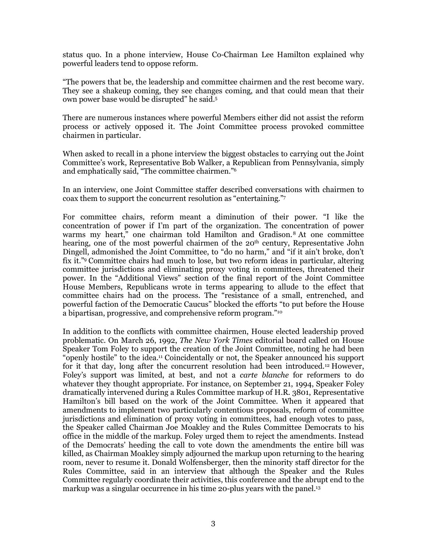status quo. In a phone interview, House Co-Chairman Lee Hamilton explained why powerful leaders tend to oppose reform.

"The powers that be, the leadership and committee chairmen and the rest become wary. They see a shakeup coming, they see changes coming, and that could mean that their own power base would be disrupted" he said.5

There are numerous instances where powerful Members either did not assist the reform process or actively opposed it. The Joint Committee process provoked committee chairmen in particular.

When asked to recall in a phone interview the biggest obstacles to carrying out the Joint Committee's work, Representative Bob Walker, a Republican from Pennsylvania, simply and emphatically said, "The committee chairmen."6

In an interview, one Joint Committee staffer described conversations with chairmen to coax them to support the concurrent resolution as "entertaining."7

For committee chairs, reform meant a diminution of their power. "I like the concentration of power if I'm part of the organization. The concentration of power warms my heart," one chairman told Hamilton and Gradison.8 At one committee hearing, one of the most powerful chairmen of the 20<sup>th</sup> century, Representative John Dingell, admonished the Joint Committee, to "do no harm," and "if it ain't broke, don't fix it."9 Committee chairs had much to lose, but two reform ideas in particular, altering committee jurisdictions and eliminating proxy voting in committees, threatened their power. In the "Additional Views" section of the final report of the Joint Committee House Members, Republicans wrote in terms appearing to allude to the effect that committee chairs had on the process. The "resistance of a small, entrenched, and powerful faction of the Democratic Caucus" blocked the efforts "to put before the House a bipartisan, progressive, and comprehensive reform program."10

In addition to the conflicts with committee chairmen, House elected leadership proved problematic. On March 26, 1992, *The New York Times* editorial board called on House Speaker Tom Foley to support the creation of the Joint Committee, noting he had been "openly hostile" to the idea.11 Coincidentally or not, the Speaker announced his support for it that day, long after the concurrent resolution had been introduced.12 However, Foley's support was limited, at best, and not a *carte blanche* for reformers to do whatever they thought appropriate. For instance, on September 21, 1994, Speaker Foley dramatically intervened during a Rules Committee markup of H.R. 3801, Representative Hamilton's bill based on the work of the Joint Committee. When it appeared that amendments to implement two particularly contentious proposals, reform of committee jurisdictions and elimination of proxy voting in committees, had enough votes to pass, the Speaker called Chairman Joe Moakley and the Rules Committee Democrats to his office in the middle of the markup. Foley urged them to reject the amendments. Instead of the Democrats' heeding the call to vote down the amendments the entire bill was killed, as Chairman Moakley simply adjourned the markup upon returning to the hearing room, never to resume it. Donald Wolfensberger, then the minority staff director for the Rules Committee, said in an interview that although the Speaker and the Rules Committee regularly coordinate their activities, this conference and the abrupt end to the markup was a singular occurrence in his time 20-plus years with the panel.<sup>13</sup>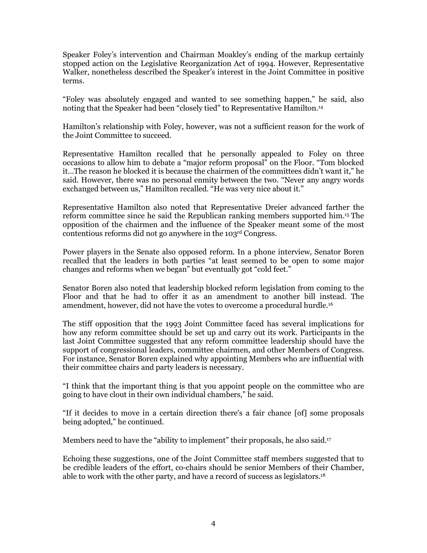Speaker Foley's intervention and Chairman Moakley's ending of the markup certainly stopped action on the Legislative Reorganization Act of 1994. However, Representative Walker, nonetheless described the Speaker's interest in the Joint Committee in positive terms.

"Foley was absolutely engaged and wanted to see something happen," he said, also noting that the Speaker had been "closely tied" to Representative Hamilton.14

Hamilton's relationship with Foley, however, was not a sufficient reason for the work of the Joint Committee to succeed.

Representative Hamilton recalled that he personally appealed to Foley on three occasions to allow him to debate a "major reform proposal" on the Floor. "Tom blocked it…The reason he blocked it is because the chairmen of the committees didn't want it," he said. However, there was no personal enmity between the two. "Never any angry words exchanged between us," Hamilton recalled. "He was very nice about it."

Representative Hamilton also noted that Representative Dreier advanced farther the reform committee since he said the Republican ranking members supported him.15 The opposition of the chairmen and the influence of the Speaker meant some of the most contentious reforms did not go anywhere in the 103rd Congress.

Power players in the Senate also opposed reform. In a phone interview, Senator Boren recalled that the leaders in both parties "at least seemed to be open to some major changes and reforms when we began" but eventually got "cold feet."

Senator Boren also noted that leadership blocked reform legislation from coming to the Floor and that he had to offer it as an amendment to another bill instead. The amendment, however, did not have the votes to overcome a procedural hurdle.16

The stiff opposition that the 1993 Joint Committee faced has several implications for how any reform committee should be set up and carry out its work. Participants in the last Joint Committee suggested that any reform committee leadership should have the support of congressional leaders, committee chairmen, and other Members of Congress. For instance, Senator Boren explained why appointing Members who are influential with their committee chairs and party leaders is necessary.

"I think that the important thing is that you appoint people on the committee who are going to have clout in their own individual chambers," he said.

"If it decides to move in a certain direction there's a fair chance [of] some proposals being adopted," he continued.

Members need to have the "ability to implement" their proposals, he also said.17

Echoing these suggestions, one of the Joint Committee staff members suggested that to be credible leaders of the effort, co-chairs should be senior Members of their Chamber, able to work with the other party, and have a record of success as legislators.18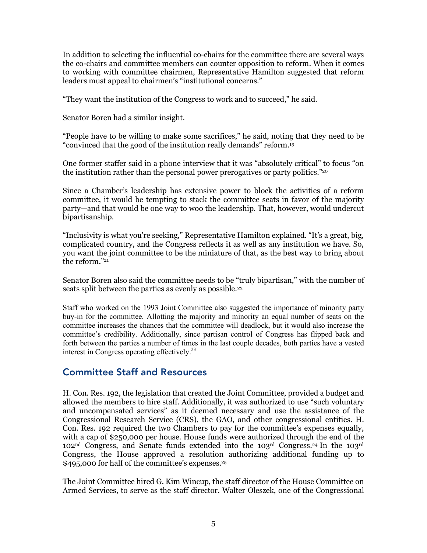In addition to selecting the influential co-chairs for the committee there are several ways the co-chairs and committee members can counter opposition to reform. When it comes to working with committee chairmen, Representative Hamilton suggested that reform leaders must appeal to chairmen's "institutional concerns."

"They want the institution of the Congress to work and to succeed," he said.

Senator Boren had a similar insight.

"People have to be willing to make some sacrifices," he said, noting that they need to be "convinced that the good of the institution really demands" reform.19

One former staffer said in a phone interview that it was "absolutely critical" to focus "on the institution rather than the personal power prerogatives or party politics."20

Since a Chamber's leadership has extensive power to block the activities of a reform committee, it would be tempting to stack the committee seats in favor of the majority party—and that would be one way to woo the leadership. That, however, would undercut bipartisanship.

"Inclusivity is what you're seeking," Representative Hamilton explained. "It's a great, big, complicated country, and the Congress reflects it as well as any institution we have. So, you want the joint committee to be the miniature of that, as the best way to bring about the reform."21

Senator Boren also said the committee needs to be "truly bipartisan," with the number of seats split between the parties as evenly as possible.<sup>22</sup>

Staff who worked on the 1993 Joint Committee also suggested the importance of minority party buy-in for the committee. Allotting the majority and minority an equal number of seats on the committee increases the chances that the committee will deadlock, but it would also increase the committee's credibility. Additionally, since partisan control of Congress has flipped back and forth between the parties a number of times in the last couple decades, both parties have a vested interest in Congress operating effectively.<sup>23</sup>

#### Committee Staff and Resources

H. Con. Res. 192, the legislation that created the Joint Committee, provided a budget and allowed the members to hire staff. Additionally, it was authorized to use "such voluntary and uncompensated services" as it deemed necessary and use the assistance of the Congressional Research Service (CRS), the GAO, and other congressional entities. H. Con. Res. 192 required the two Chambers to pay for the committee's expenses equally, with a cap of \$250,000 per house. House funds were authorized through the end of the 102nd Congress, and Senate funds extended into the 103rd Congress.24 In the 103rd Congress, the House approved a resolution authorizing additional funding up to \$495,000 for half of the committee's expenses.<sup>25</sup>

The Joint Committee hired G. Kim Wincup, the staff director of the House Committee on Armed Services, to serve as the staff director. Walter Oleszek, one of the Congressional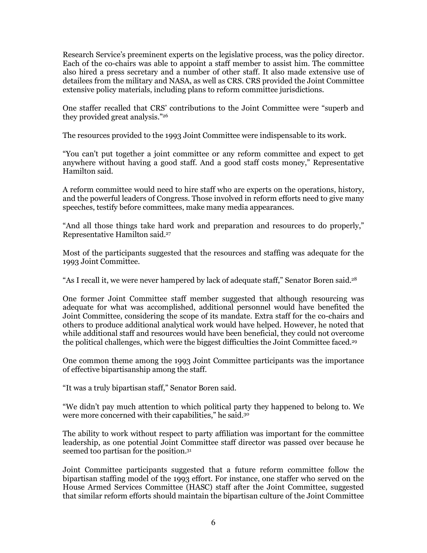Research Service's preeminent experts on the legislative process, was the policy director. Each of the co-chairs was able to appoint a staff member to assist him. The committee also hired a press secretary and a number of other staff. It also made extensive use of detailees from the military and NASA, as well as CRS. CRS provided the Joint Committee extensive policy materials, including plans to reform committee jurisdictions.

One staffer recalled that CRS' contributions to the Joint Committee were "superb and they provided great analysis."26

The resources provided to the 1993 Joint Committee were indispensable to its work.

"You can't put together a joint committee or any reform committee and expect to get anywhere without having a good staff. And a good staff costs money," Representative Hamilton said.

A reform committee would need to hire staff who are experts on the operations, history, and the powerful leaders of Congress. Those involved in reform efforts need to give many speeches, testify before committees, make many media appearances.

"And all those things take hard work and preparation and resources to do properly," Representative Hamilton said.27

Most of the participants suggested that the resources and staffing was adequate for the 1993 Joint Committee.

"As I recall it, we were never hampered by lack of adequate staff," Senator Boren said.28

One former Joint Committee staff member suggested that although resourcing was adequate for what was accomplished, additional personnel would have benefited the Joint Committee, considering the scope of its mandate. Extra staff for the co-chairs and others to produce additional analytical work would have helped. However, he noted that while additional staff and resources would have been beneficial, they could not overcome the political challenges, which were the biggest difficulties the Joint Committee faced.<sup>29</sup>

One common theme among the 1993 Joint Committee participants was the importance of effective bipartisanship among the staff.

"It was a truly bipartisan staff," Senator Boren said.

"We didn't pay much attention to which political party they happened to belong to. We were more concerned with their capabilities," he said.30

The ability to work without respect to party affiliation was important for the committee leadership, as one potential Joint Committee staff director was passed over because he seemed too partisan for the position.31

Joint Committee participants suggested that a future reform committee follow the bipartisan staffing model of the 1993 effort. For instance, one staffer who served on the House Armed Services Committee (HASC) staff after the Joint Committee, suggested that similar reform efforts should maintain the bipartisan culture of the Joint Committee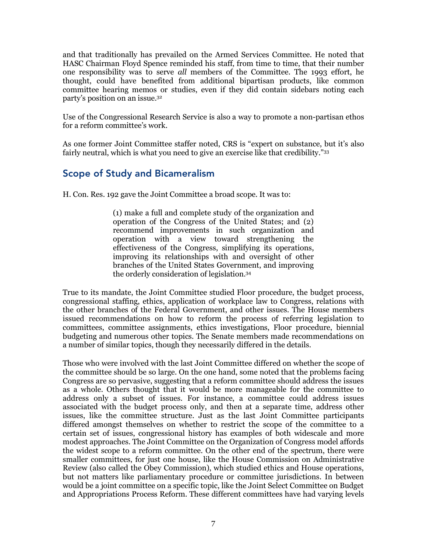and that traditionally has prevailed on the Armed Services Committee. He noted that HASC Chairman Floyd Spence reminded his staff, from time to time, that their number one responsibility was to serve *all* members of the Committee. The 1993 effort, he thought, could have benefited from additional bipartisan products, like common committee hearing memos or studies, even if they did contain sidebars noting each party's position on an issue.32

Use of the Congressional Research Service is also a way to promote a non-partisan ethos for a reform committee's work.

As one former Joint Committee staffer noted, CRS is "expert on substance, but it's also fairly neutral, which is what you need to give an exercise like that credibility."33

#### Scope of Study and Bicameralism

H. Con. Res. 192 gave the Joint Committee a broad scope. It was to:

(1) make a full and complete study of the organization and operation of the Congress of the United States; and (2) recommend improvements in such organization and operation with a view toward strengthening the effectiveness of the Congress, simplifying its operations, improving its relationships with and oversight of other branches of the United States Government, and improving the orderly consideration of legislation.34

True to its mandate, the Joint Committee studied Floor procedure, the budget process, congressional staffing, ethics, application of workplace law to Congress, relations with the other branches of the Federal Government, and other issues. The House members issued recommendations on how to reform the process of referring legislation to committees, committee assignments, ethics investigations, Floor procedure, biennial budgeting and numerous other topics. The Senate members made recommendations on a number of similar topics, though they necessarily differed in the details.

Those who were involved with the last Joint Committee differed on whether the scope of the committee should be so large. On the one hand, some noted that the problems facing Congress are so pervasive, suggesting that a reform committee should address the issues as a whole. Others thought that it would be more manageable for the committee to address only a subset of issues. For instance, a committee could address issues associated with the budget process only, and then at a separate time, address other issues, like the committee structure. Just as the last Joint Committee participants differed amongst themselves on whether to restrict the scope of the committee to a certain set of issues, congressional history has examples of both widescale and more modest approaches. The Joint Committee on the Organization of Congress model affords the widest scope to a reform committee. On the other end of the spectrum, there were smaller committees, for just one house, like the House Commission on Administrative Review (also called the Obey Commission), which studied ethics and House operations, but not matters like parliamentary procedure or committee jurisdictions. In between would be a joint committee on a specific topic, like the Joint Select Committee on Budget and Appropriations Process Reform. These different committees have had varying levels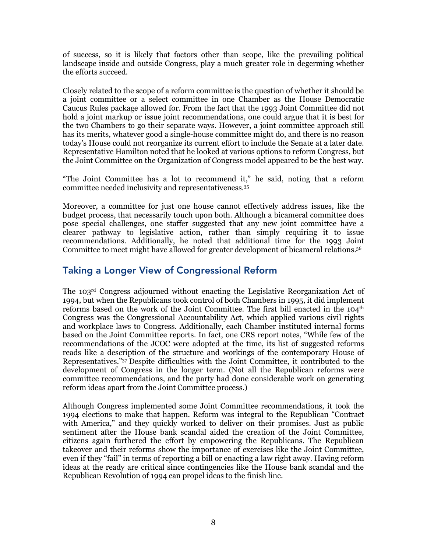of success, so it is likely that factors other than scope, like the prevailing political landscape inside and outside Congress, play a much greater role in degerming whether the efforts succeed.

Closely related to the scope of a reform committee is the question of whether it should be a joint committee or a select committee in one Chamber as the House Democratic Caucus Rules package allowed for. From the fact that the 1993 Joint Committee did not hold a joint markup or issue joint recommendations, one could argue that it is best for the two Chambers to go their separate ways. However, a joint committee approach still has its merits, whatever good a single-house committee might do, and there is no reason today's House could not reorganize its current effort to include the Senate at a later date. Representative Hamilton noted that he looked at various options to reform Congress, but the Joint Committee on the Organization of Congress model appeared to be the best way.

"The Joint Committee has a lot to recommend it," he said, noting that a reform committee needed inclusivity and representativeness.35

Moreover, a committee for just one house cannot effectively address issues, like the budget process, that necessarily touch upon both. Although a bicameral committee does pose special challenges, one staffer suggested that any new joint committee have a clearer pathway to legislative action, rather than simply requiring it to issue recommendations. Additionally, he noted that additional time for the 1993 Joint Committee to meet might have allowed for greater development of bicameral relations.36

### Taking a Longer View of Congressional Reform

The 103rd Congress adjourned without enacting the Legislative Reorganization Act of 1994, but when the Republicans took control of both Chambers in 1995, it did implement reforms based on the work of the Joint Committee. The first bill enacted in the  $104<sup>th</sup>$ Congress was the Congressional Accountability Act, which applied various civil rights and workplace laws to Congress. Additionally, each Chamber instituted internal forms based on the Joint Committee reports. In fact, one CRS report notes, "While few of the recommendations of the JCOC were adopted at the time, its list of suggested reforms reads like a description of the structure and workings of the contemporary House of Representatives."37 Despite difficulties with the Joint Committee, it contributed to the development of Congress in the longer term. (Not all the Republican reforms were committee recommendations, and the party had done considerable work on generating reform ideas apart from the Joint Committee process.)

Although Congress implemented some Joint Committee recommendations, it took the 1994 elections to make that happen. Reform was integral to the Republican "Contract with America," and they quickly worked to deliver on their promises. Just as public sentiment after the House bank scandal aided the creation of the Joint Committee, citizens again furthered the effort by empowering the Republicans. The Republican takeover and their reforms show the importance of exercises like the Joint Committee, even if they "fail" in terms of reporting a bill or enacting a law right away. Having reform ideas at the ready are critical since contingencies like the House bank scandal and the Republican Revolution of 1994 can propel ideas to the finish line.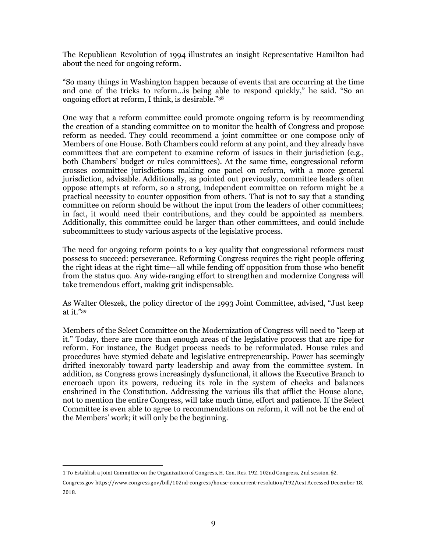The Republican Revolution of 1994 illustrates an insight Representative Hamilton had about the need for ongoing reform.

"So many things in Washington happen because of events that are occurring at the time and one of the tricks to reform…is being able to respond quickly," he said. "So an ongoing effort at reform, I think, is desirable."38

One way that a reform committee could promote ongoing reform is by recommending the creation of a standing committee on to monitor the health of Congress and propose reform as needed. They could recommend a joint committee or one compose only of Members of one House. Both Chambers could reform at any point, and they already have committees that are competent to examine reform of issues in their jurisdiction (e.g., both Chambers' budget or rules committees). At the same time, congressional reform crosses committee jurisdictions making one panel on reform, with a more general jurisdiction, advisable. Additionally, as pointed out previously, committee leaders often oppose attempts at reform, so a strong, independent committee on reform might be a practical necessity to counter opposition from others. That is not to say that a standing committee on reform should be without the input from the leaders of other committees; in fact, it would need their contributions, and they could be appointed as members. Additionally, this committee could be larger than other committees, and could include subcommittees to study various aspects of the legislative process.

The need for ongoing reform points to a key quality that congressional reformers must possess to succeed: perseverance. Reforming Congress requires the right people offering the right ideas at the right time—all while fending off opposition from those who benefit from the status quo. Any wide-ranging effort to strengthen and modernize Congress will take tremendous effort, making grit indispensable.

As Walter Oleszek, the policy director of the 1993 Joint Committee, advised, "Just keep at it."39

Members of the Select Committee on the Modernization of Congress will need to "keep at it." Today, there are more than enough areas of the legislative process that are ripe for reform. For instance, the Budget process needs to be reformulated. House rules and procedures have stymied debate and legislative entrepreneurship. Power has seemingly drifted inexorably toward party leadership and away from the committee system. In addition, as Congress grows increasingly dysfunctional, it allows the Executive Branch to encroach upon its powers, reducing its role in the system of checks and balances enshrined in the Constitution. Addressing the various ills that afflict the House alone, not to mention the entire Congress, will take much time, effort and patience. If the Select Committee is even able to agree to recommendations on reform, it will not be the end of the Members' work; it will only be the beginning.

 

<sup>1</sup> To Establish a Joint Committee on the Organization of Congress, H. Con. Res. 192, 102nd Congress, 2nd session, §2,

Congress.gov https://www.congress.gov/bill/102nd-congress/house-concurrent-resolution/192/text Accessed December 18, 2018.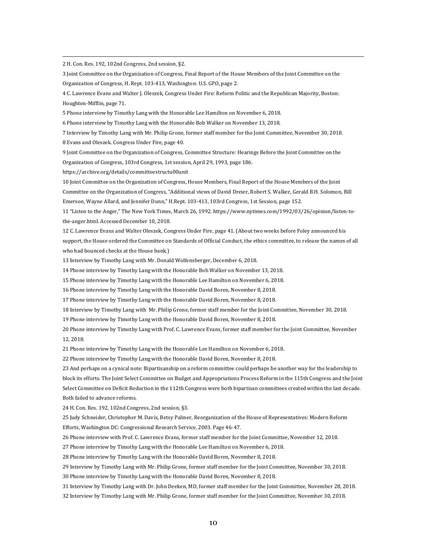2 H. Con. Res. 192, 102nd Congress, 2nd session, §2.

3 Joint Committee on the Organization of Congress, Final Report of the House Members of the Joint Committee on the Organization of Congress, H. Rept. 103-413, Washington: U.S. GPO, page 2.

<u> 1989 - Andrea Santa Andrea Andrea Andrea Andrea Andrea Andrea Andrea Andrea Andrea Andrea Andrea Andrea Andr</u>

4 C. Lawrence Evans and Walter J. Oleszek, Congress Under Fire: Reform Politic and the Republican Majority, Boston: Houghton-Mifflin, page 71.

5 Phone interview by Timothy Lang with the Honorable Lee Hamilton on November 6, 2018.

6 Phone interview by Timothy Lang with the Honorable Bob Walker on November 13, 2018.

7 Interview by Timothy Lang with Mr. Philip Grone, former staff member for the Joint Committee, November 30, 2018. 8 Evans and Oleszek. Congress Under Fire, page 40.

9 Joint Committee on the Organization of Congress, Committee Structure: Hearings Before the Joint Committee on the Organization of Congress, 103rd Congress, 1st session, April 29, 1993, page 186.

https://archive.org/details/committeestructu00unit

10 Joint Committee on the Organization of Congress, House Members, Final Report of the House Members of the Joint Committee on the Organization of Congress, "Additional views of David Dreier, Robert S. Walker, Gerald B.H. Solomon, Bill Emerson, Wayne Allard, and Jennifer Dunn," H.Rept. 103-413, 103rd Congress, 1st Session, page 152.

11 "Listen to the Anger," The New York Times, March 26, 1992. https://www.nytimes.com/1992/03/26/opinion/listen-tothe-anger.html. Accessed December 10, 2018.

12 C. Lawrence Evans and Walter Oleszek, Congress Under Fire, page 41. (About two weeks before Foley announced his support, the House ordered the Committee on Standards of Official Conduct, the ethics committee, to release the names of all who had bounced checks at the House bank.)

13 Interview by Timothy Lang with Mr. Donald Wolfensberger, December 6, 2018.

14 Phone interview by Timothy Lang with the Honorable Bob Walker on November 13, 2018.

15 Phone interview by Timothy Lang with the Honorable Lee Hamilton on November 6, 2018.

16 Phone interview by Timothy Lang with the Honorable David Boren, November 8, 2018.

17 Phone interview by Timothy Lang with the Honorable David Boren, November 8, 2018.

18 Interview by Timothy Lang with Mr. Philip Grone, former staff member for the Joint Committee, November 30, 2018.

19 Phone interview by Timothy Lang with the Honorable David Boren, November 8, 2018.

20 Phone interview by Timothy Lang with Prof. C. Lawrence Evans, former staff member for the Joint Committee, November 12, 2018.

21 Phone interview by Timothy Lang with the Honorable Lee Hamilton on November 6, 2018.

22 Phone interview by Timothy Lang with the Honorable David Boren, November 8, 2018.

23 And perhaps on a cynical note: Bipartisanship on a reform committee could perhaps be another way for the leadership to block its efforts. The Joint Select Committee on Budget and Appropriations Process Reform in the 115th Congress and the Joint Select Committee on Deficit Reduction in the 112th Congress were both bipartisan committees created within the last decade. Both failed to advance reforms.

24 H. Con. Res. 192, 102nd Congress, 2nd session, §3.

25 Judy Schneider, Christopher M. Davis, Betsy Palmer, Reorganization of the House of Representatives: Modern Reform Efforts, Washington DC: Congressional Research Service, 2003. Page 46-47.

26 Phone interview with Prof. C. Lawrence Evans, former staff member for the Joint Committee, November 12, 2018.

27 Phone interview by Timothy Lang with the Honorable Lee Hamilton on November 6, 2018.

28 Phone interview by Timothy Lang with the Honorable David Boren, November 8, 2018.

29 Interview by Timothy Lang with Mr. Philip Grone, former staff member for the Joint Committee, November 30, 2018.

30 Phone interview by Timothy Lang with the Honorable David Boren, November 8, 2018.

31 Interview by Timothy Lang with Dr. John Deeken, MD, former staff member for the Joint Committee, November 28, 2018.

32 Interview by Timothy Lang with Mr. Philip Grone, former staff member for the Joint Committee, November 30, 2018.